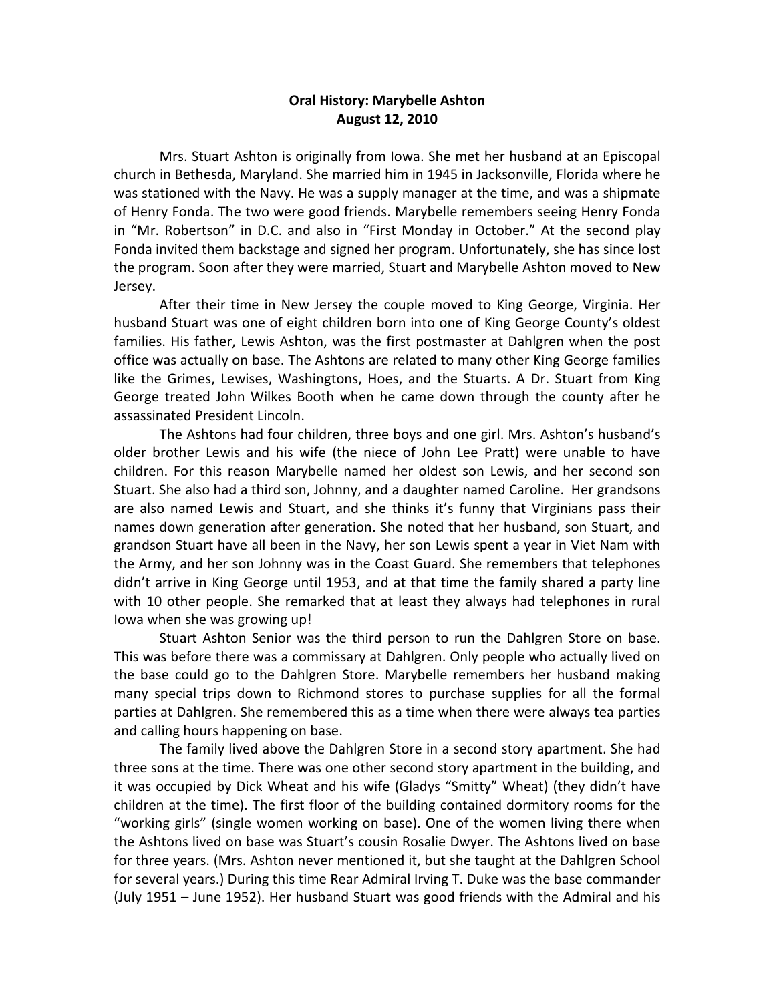## **Oral History: Marybelle Ashton August 12, 2010**

Mrs. Stuart Ashton is originally from Iowa. She met her husband at an Episcopal church in Bethesda, Maryland. She married him in 1945 in Jacksonville, Florida where he was stationed with the Navy. He was a supply manager at the time, and was a shipmate of Henry Fonda. The two were good friends. Marybelle remembers seeing Henry Fonda in "Mr. Robertson" in D.C. and also in "First Monday in October." At the second play Fonda invited them backstage and signed her program. Unfortunately, she has since lost the program. Soon after they were married, Stuart and Marybelle Ashton moved to New Jersey.

After their time in New Jersey the couple moved to King George, Virginia. Her husband Stuart was one of eight children born into one of King George County's oldest families. His father, Lewis Ashton, was the first postmaster at Dahlgren when the post office was actually on base. The Ashtons are related to many other King George families like the Grimes, Lewises, Washingtons, Hoes, and the Stuarts. A Dr. Stuart from King George treated John Wilkes Booth when he came down through the county after he assassinated President Lincoln.

The Ashtons had four children, three boys and one girl. Mrs. Ashton's husband's older brother Lewis and his wife (the niece of John Lee Pratt) were unable to have children. For this reason Marybelle named her oldest son Lewis, and her second son Stuart. She also had a third son, Johnny, and a daughter named Caroline. Her grandsons are also named Lewis and Stuart, and she thinks it's funny that Virginians pass their names down generation after generation. She noted that her husband, son Stuart, and grandson Stuart have all been in the Navy, her son Lewis spent a year in Viet Nam with the Army, and her son Johnny was in the Coast Guard. She remembers that telephones didn't arrive in King George until 1953, and at that time the family shared a party line with 10 other people. She remarked that at least they always had telephones in rural Iowa when she was growing up!

Stuart Ashton Senior was the third person to run the Dahlgren Store on base. This was before there was a commissary at Dahlgren. Only people who actually lived on the base could go to the Dahlgren Store. Marybelle remembers her husband making many special trips down to Richmond stores to purchase supplies for all the formal parties at Dahlgren. She remembered this as a time when there were always tea parties and calling hours happening on base.

The family lived above the Dahlgren Store in a second story apartment. She had three sons at the time. There was one other second story apartment in the building, and it was occupied by Dick Wheat and his wife (Gladys "Smitty" Wheat) (they didn't have children at the time). The first floor of the building contained dormitory rooms for the "working girls" (single women working on base). One of the women living there when the Ashtons lived on base was Stuart's cousin Rosalie Dwyer. The Ashtons lived on base for three years. (Mrs. Ashton never mentioned it, but she taught at the Dahlgren School for several years.) During this time Rear Admiral Irving T. Duke was the base commander (July 1951 – June 1952). Her husband Stuart was good friends with the Admiral and his